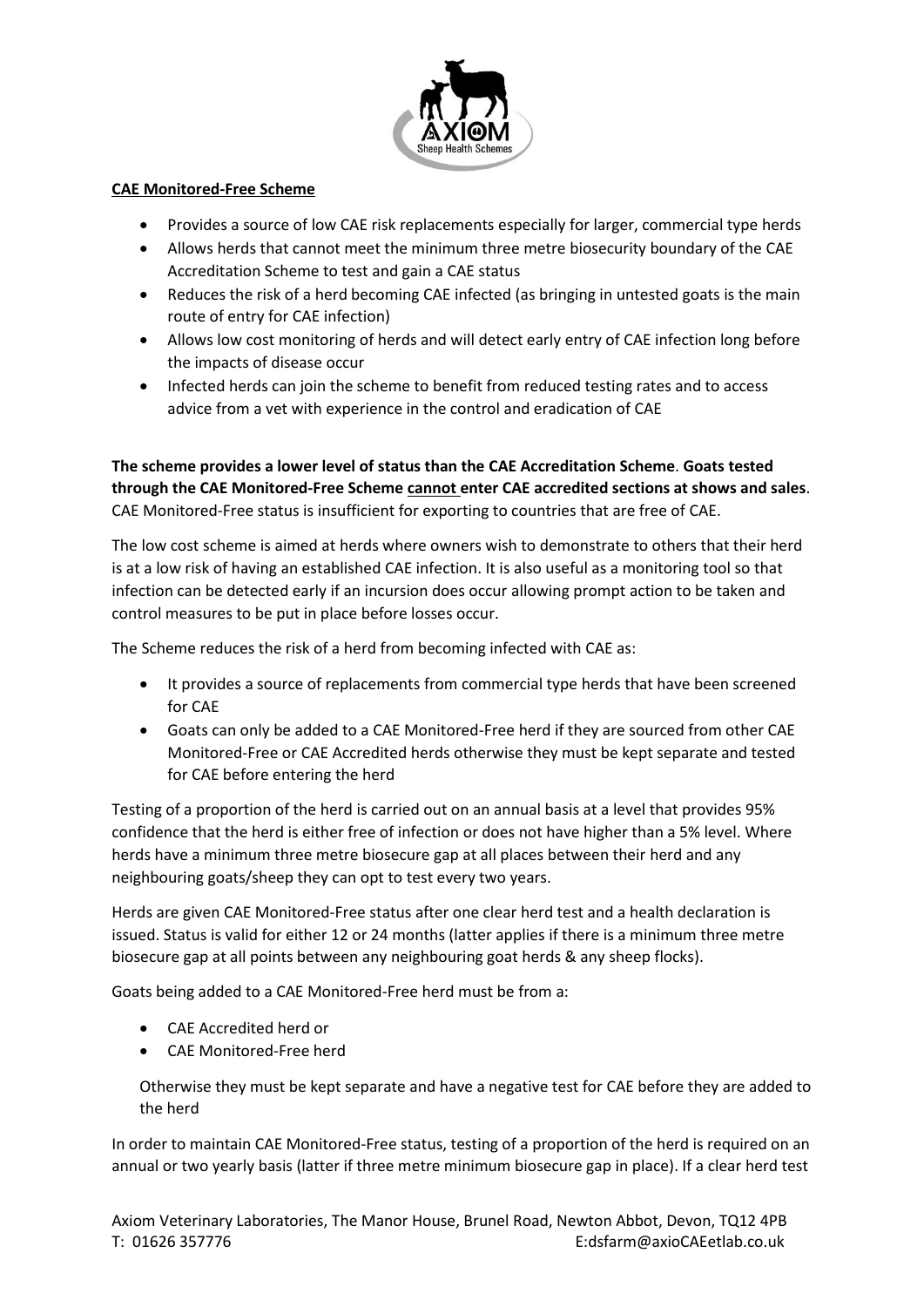

## **CAE Monitored-Free Scheme**

- Provides a source of low CAE risk replacements especially for larger, commercial type herds
- Allows herds that cannot meet the minimum three metre biosecurity boundary of the CAE Accreditation Scheme to test and gain a CAE status
- Reduces the risk of a herd becoming CAE infected (as bringing in untested goats is the main route of entry for CAE infection)
- Allows low cost monitoring of herds and will detect early entry of CAE infection long before the impacts of disease occur
- Infected herds can join the scheme to benefit from reduced testing rates and to access advice from a vet with experience in the control and eradication of CAE

**The scheme provides a lower level of status than the CAE Accreditation Scheme**. **Goats tested through the CAE Monitored-Free Scheme cannot enter CAE accredited sections at shows and sales**. CAE Monitored-Free status is insufficient for exporting to countries that are free of CAE.

The low cost scheme is aimed at herds where owners wish to demonstrate to others that their herd is at a low risk of having an established CAE infection. It is also useful as a monitoring tool so that infection can be detected early if an incursion does occur allowing prompt action to be taken and control measures to be put in place before losses occur.

The Scheme reduces the risk of a herd from becoming infected with CAE as:

- It provides a source of replacements from commercial type herds that have been screened for CAE
- Goats can only be added to a CAE Monitored-Free herd if they are sourced from other CAE Monitored-Free or CAE Accredited herds otherwise they must be kept separate and tested for CAE before entering the herd

Testing of a proportion of the herd is carried out on an annual basis at a level that provides 95% confidence that the herd is either free of infection or does not have higher than a 5% level. Where herds have a minimum three metre biosecure gap at all places between their herd and any neighbouring goats/sheep they can opt to test every two years.

Herds are given CAE Monitored-Free status after one clear herd test and a health declaration is issued. Status is valid for either 12 or 24 months (latter applies if there is a minimum three metre biosecure gap at all points between any neighbouring goat herds & any sheep flocks).

Goats being added to a CAE Monitored-Free herd must be from a:

- CAE Accredited herd or
- CAE Monitored-Free herd

Otherwise they must be kept separate and have a negative test for CAE before they are added to the herd

In order to maintain CAE Monitored-Free status, testing of a proportion of the herd is required on an annual or two yearly basis (latter if three metre minimum biosecure gap in place). If a clear herd test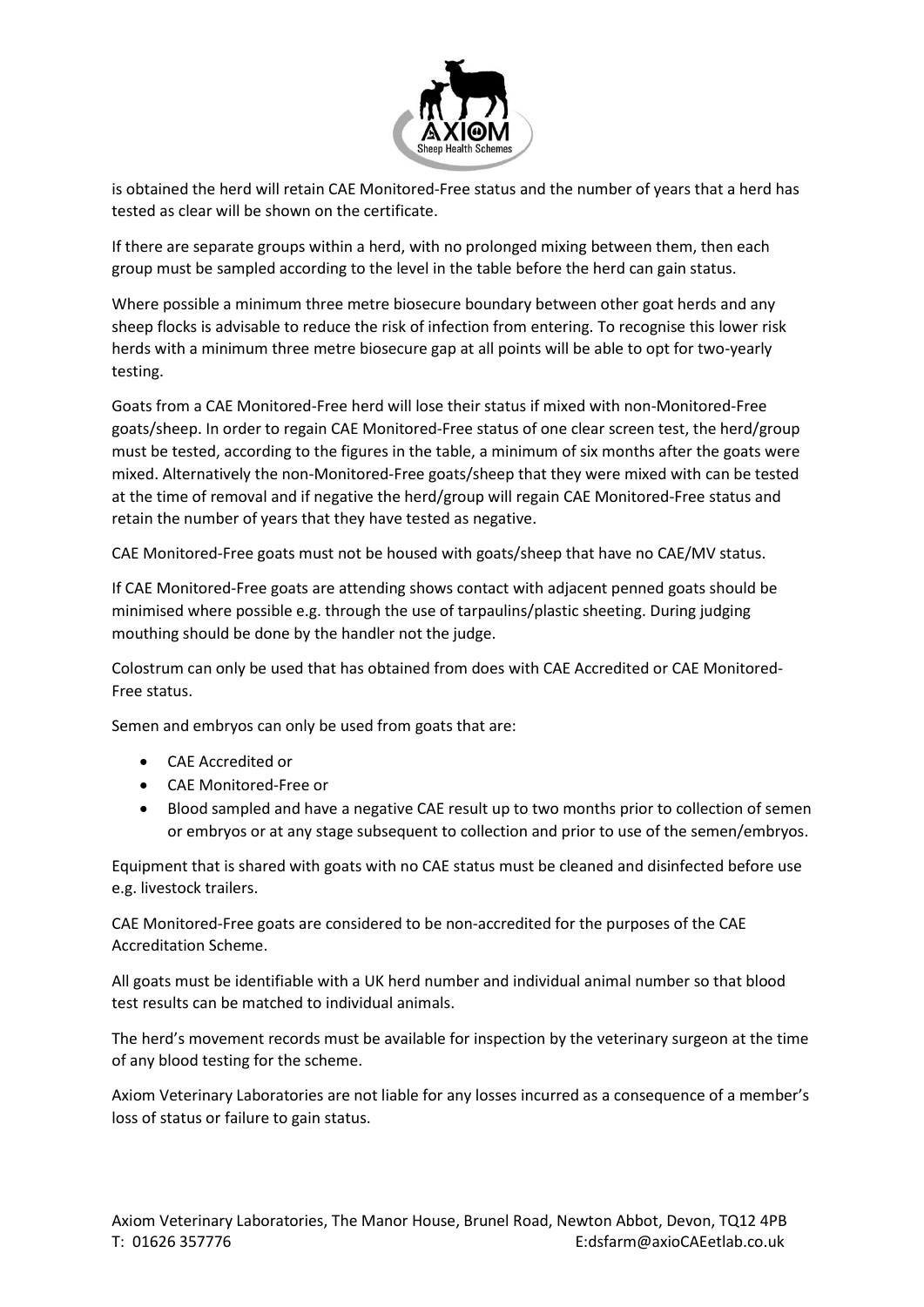

is obtained the herd will retain CAE Monitored-Free status and the number of years that a herd has tested as clear will be shown on the certificate.

If there are separate groups within a herd, with no prolonged mixing between them, then each group must be sampled according to the level in the table before the herd can gain status.

Where possible a minimum three metre biosecure boundary between other goat herds and any sheep flocks is advisable to reduce the risk of infection from entering. To recognise this lower risk herds with a minimum three metre biosecure gap at all points will be able to opt for two-yearly testing.

Goats from a CAE Monitored-Free herd will lose their status if mixed with non-Monitored-Free goats/sheep. In order to regain CAE Monitored-Free status of one clear screen test, the herd/group must be tested, according to the figures in the table, a minimum of six months after the goats were mixed. Alternatively the non-Monitored-Free goats/sheep that they were mixed with can be tested at the time of removal and if negative the herd/group will regain CAE Monitored-Free status and retain the number of years that they have tested as negative.

CAE Monitored-Free goats must not be housed with goats/sheep that have no CAE/MV status.

If CAE Monitored-Free goats are attending shows contact with adjacent penned goats should be minimised where possible e.g. through the use of tarpaulins/plastic sheeting. During judging mouthing should be done by the handler not the judge.

Colostrum can only be used that has obtained from does with CAE Accredited or CAE Monitored-Free status.

Semen and embryos can only be used from goats that are:

- CAE Accredited or
- CAE Monitored-Free or
- Blood sampled and have a negative CAE result up to two months prior to collection of semen or embryos or at any stage subsequent to collection and prior to use of the semen/embryos.

Equipment that is shared with goats with no CAE status must be cleaned and disinfected before use e.g. livestock trailers.

CAE Monitored-Free goats are considered to be non-accredited for the purposes of the CAE Accreditation Scheme.

All goats must be identifiable with a UK herd number and individual animal number so that blood test results can be matched to individual animals.

The herd's movement records must be available for inspection by the veterinary surgeon at the time of any blood testing for the scheme.

Axiom Veterinary Laboratories are not liable for any losses incurred as a consequence of a member's loss of status or failure to gain status.